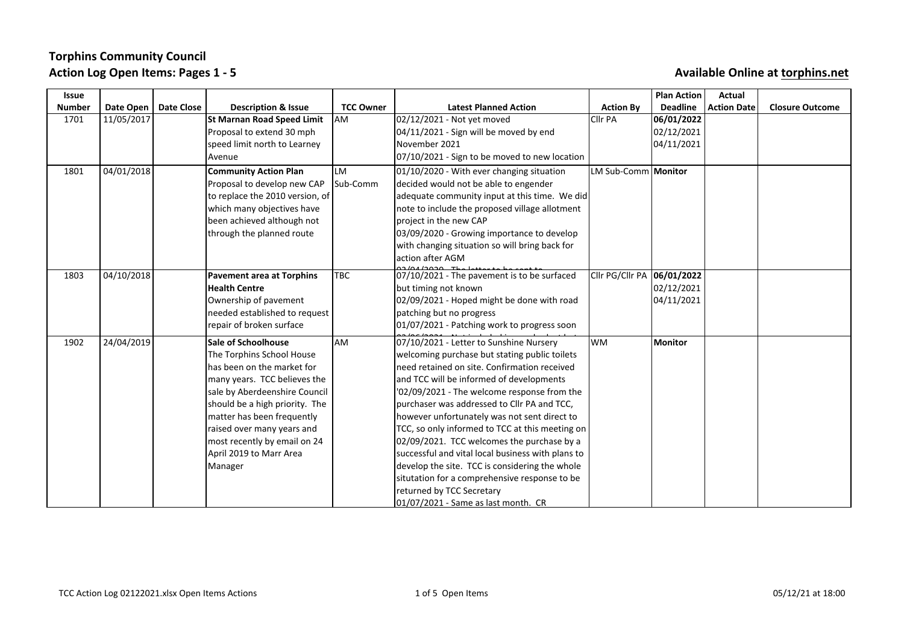| Issue         |            |                   |                                                                                                                                                                                                                                                                                                                            |                  |                                                                                                                                                                                                                                                                                                                                                                                                                                                                                                                                                                                                                                                                  |                              | <b>Plan Action</b>                     | Actual             |                        |
|---------------|------------|-------------------|----------------------------------------------------------------------------------------------------------------------------------------------------------------------------------------------------------------------------------------------------------------------------------------------------------------------------|------------------|------------------------------------------------------------------------------------------------------------------------------------------------------------------------------------------------------------------------------------------------------------------------------------------------------------------------------------------------------------------------------------------------------------------------------------------------------------------------------------------------------------------------------------------------------------------------------------------------------------------------------------------------------------------|------------------------------|----------------------------------------|--------------------|------------------------|
| <b>Number</b> | Date Open  | <b>Date Close</b> | <b>Description &amp; Issue</b>                                                                                                                                                                                                                                                                                             | <b>TCC Owner</b> | <b>Latest Planned Action</b>                                                                                                                                                                                                                                                                                                                                                                                                                                                                                                                                                                                                                                     | <b>Action By</b>             | <b>Deadline</b>                        | <b>Action Date</b> | <b>Closure Outcome</b> |
| 1701          | 11/05/2017 |                   | <b>St Marnan Road Speed Limit</b><br>Proposal to extend 30 mph                                                                                                                                                                                                                                                             | lam              | 02/12/2021 - Not yet moved<br>$[04/11/2021 -$ Sign will be moved by end                                                                                                                                                                                                                                                                                                                                                                                                                                                                                                                                                                                          | <b>Cllr PA</b>               | 06/01/2022<br>02/12/2021               |                    |                        |
|               |            |                   | speed limit north to Learney                                                                                                                                                                                                                                                                                               |                  | November 2021                                                                                                                                                                                                                                                                                                                                                                                                                                                                                                                                                                                                                                                    |                              | 04/11/2021                             |                    |                        |
|               |            |                   | Avenue                                                                                                                                                                                                                                                                                                                     |                  | 07/10/2021 - Sign to be moved to new location                                                                                                                                                                                                                                                                                                                                                                                                                                                                                                                                                                                                                    |                              |                                        |                    |                        |
| 1801          | 04/01/2018 |                   | <b>Community Action Plan</b><br>Proposal to develop new CAP<br>to replace the 2010 version, of<br>which many objectives have<br>been achieved although not<br>through the planned route                                                                                                                                    | LM<br>Sub-Comm   | 01/10/2020 - With ever changing situation<br>decided would not be able to engender<br>adequate community input at this time. We did<br>note to include the proposed village allotment<br>project in the new CAP<br>03/09/2020 - Growing importance to develop<br>with changing situation so will bring back for<br>action after AGM                                                                                                                                                                                                                                                                                                                              | LM Sub-Comm   <b>Monitor</b> |                                        |                    |                        |
| 1803          | 04/10/2018 |                   | <b>Pavement area at Torphins</b><br><b>Health Centre</b><br>Ownership of pavement<br>needed established to request<br>repair of broken surface                                                                                                                                                                             | <b>TBC</b>       | 07/10/2021 - The pavement is to be surfaced<br>but timing not known<br>02/09/2021 - Hoped might be done with road<br>patching but no progress<br>01/07/2021 - Patching work to progress soon                                                                                                                                                                                                                                                                                                                                                                                                                                                                     | Cllr PG/Cllr PA              | 06/01/2022<br>02/12/2021<br>04/11/2021 |                    |                        |
| 1902          | 24/04/2019 |                   | <b>Sale of Schoolhouse</b><br>The Torphins School House<br>has been on the market for<br>many years. TCC believes the<br>sale by Aberdeenshire Council<br>should be a high priority. The<br>matter has been frequently<br>raised over many years and<br>most recently by email on 24<br>April 2019 to Marr Area<br>Manager | lam              | 07/10/2021 - Letter to Sunshine Nursery<br>welcoming purchase but stating public toilets<br>Ineed retained on site. Confirmation received<br>and TCC will be informed of developments<br>'02/09/2021 - The welcome response from the<br>purchaser was addressed to Cllr PA and TCC,<br>however unfortunately was not sent direct to<br>TCC, so only informed to TCC at this meeting on<br>02/09/2021. TCC welcomes the purchase by a<br>successful and vital local business with plans to<br>develop the site. TCC is considering the whole<br>situtation for a comprehensive response to be<br>returned by TCC Secretary<br>01/07/2021 - Same as last month. CR | lwm                          | <b>Monitor</b>                         |                    |                        |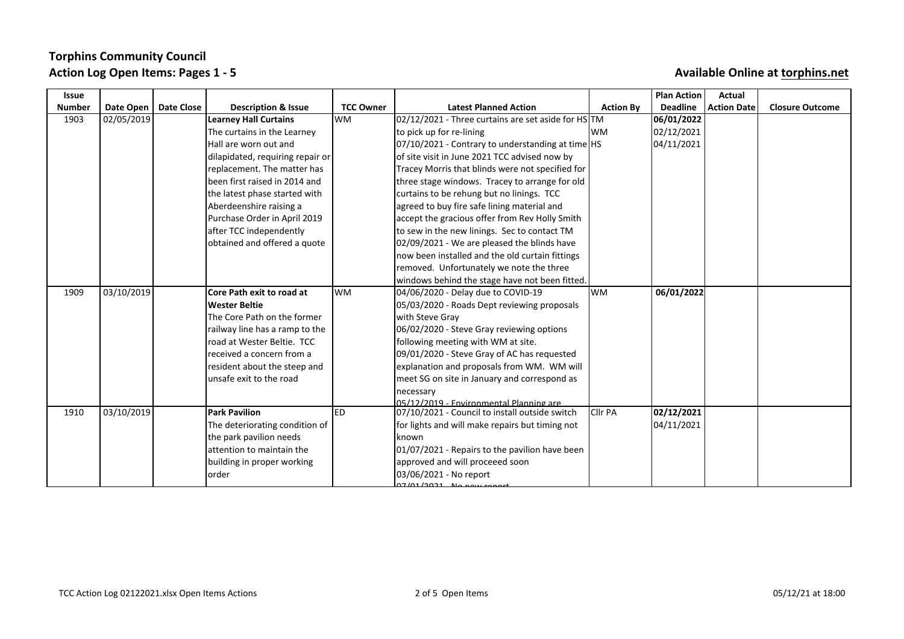| Issue         |                        |                                  |                  |                                                                                           |                  | <b>Plan Action</b> | Actual                 |                        |
|---------------|------------------------|----------------------------------|------------------|-------------------------------------------------------------------------------------------|------------------|--------------------|------------------------|------------------------|
| <b>Number</b> | Date Open   Date Close | <b>Description &amp; Issue</b>   | <b>TCC Owner</b> | <b>Latest Planned Action</b>                                                              | <b>Action By</b> |                    | Deadline   Action Date | <b>Closure Outcome</b> |
| 1903          | 02/05/2019             | <b>Learney Hall Curtains</b>     | <b>WM</b>        | $02/12/2021$ - Three curtains are set aside for HS TM                                     |                  | 06/01/2022         |                        |                        |
|               |                        | The curtains in the Learney      |                  | to pick up for re-lining                                                                  | lwm              | 02/12/2021         |                        |                        |
|               |                        | Hall are worn out and            |                  | 07/10/2021 - Contrary to understanding at time HS                                         |                  | 04/11/2021         |                        |                        |
|               |                        | dilapidated, requiring repair or |                  | of site visit in June 2021 TCC advised now by                                             |                  |                    |                        |                        |
|               |                        | replacement. The matter has      |                  | Tracey Morris that blinds were not specified for                                          |                  |                    |                        |                        |
|               |                        | lbeen first raised in 2014 and   |                  | three stage windows. Tracey to arrange for old                                            |                  |                    |                        |                        |
|               |                        | the latest phase started with    |                  | curtains to be rehung but no linings. TCC                                                 |                  |                    |                        |                        |
|               |                        | Aberdeenshire raising a          |                  | agreed to buy fire safe lining material and                                               |                  |                    |                        |                        |
|               |                        | Purchase Order in April 2019     |                  | accept the gracious offer from Rev Holly Smith                                            |                  |                    |                        |                        |
|               |                        | after TCC independently          |                  | to sew in the new linings. Sec to contact TM                                              |                  |                    |                        |                        |
|               |                        | obtained and offered a quote     |                  | 02/09/2021 - We are pleased the blinds have                                               |                  |                    |                        |                        |
|               |                        |                                  |                  | now been installed and the old curtain fittings                                           |                  |                    |                        |                        |
|               |                        |                                  |                  | removed. Unfortunately we note the three                                                  |                  |                    |                        |                        |
|               |                        |                                  |                  | windows behind the stage have not been fitted.                                            |                  |                    |                        |                        |
| 1909          | 03/10/2019             | Core Path exit to road at        | lwm              | 04/06/2020 - Delay due to COVID-19                                                        | lwm              | 06/01/2022         |                        |                        |
|               |                        | Wester Beltie                    |                  | 05/03/2020 - Roads Dept reviewing proposals                                               |                  |                    |                        |                        |
|               |                        | The Core Path on the former      |                  | with Steve Grav                                                                           |                  |                    |                        |                        |
|               |                        | railway line has a ramp to the   |                  | 06/02/2020 - Steve Gray reviewing options                                                 |                  |                    |                        |                        |
|               |                        | road at Wester Beltie. TCC       |                  | following meeting with WM at site.                                                        |                  |                    |                        |                        |
|               |                        | received a concern from a        |                  | 09/01/2020 - Steve Gray of AC has requested                                               |                  |                    |                        |                        |
|               |                        | resident about the steep and     |                  | explanation and proposals from WM. WM will                                                |                  |                    |                        |                        |
|               |                        | unsafe exit to the road          |                  | meet SG on site in January and correspond as                                              |                  |                    |                        |                        |
|               |                        |                                  |                  | necessary                                                                                 |                  |                    |                        |                        |
| 1910          | 03/10/2019             | <b>Park Pavilion</b>             | led              | 05/12/2019 - Environmental Planning are<br>07/10/2021 - Council to install outside switch | <b>Clir PA</b>   | 02/12/2021         |                        |                        |
|               |                        | The deteriorating condition of   |                  | for lights and will make repairs but timing not                                           |                  | 04/11/2021         |                        |                        |
|               |                        | the park pavilion needs          |                  | known                                                                                     |                  |                    |                        |                        |
|               |                        | lattention to maintain the       |                  | 01/07/2021 - Repairs to the pavilion have been                                            |                  |                    |                        |                        |
|               |                        | building in proper working       |                  | approved and will proceeed soon                                                           |                  |                    |                        |                        |
|               |                        | lorder                           |                  | 03/06/2021 - No report                                                                    |                  |                    |                        |                        |
|               |                        |                                  |                  | $07/01/2021$ No now range                                                                 |                  |                    |                        |                        |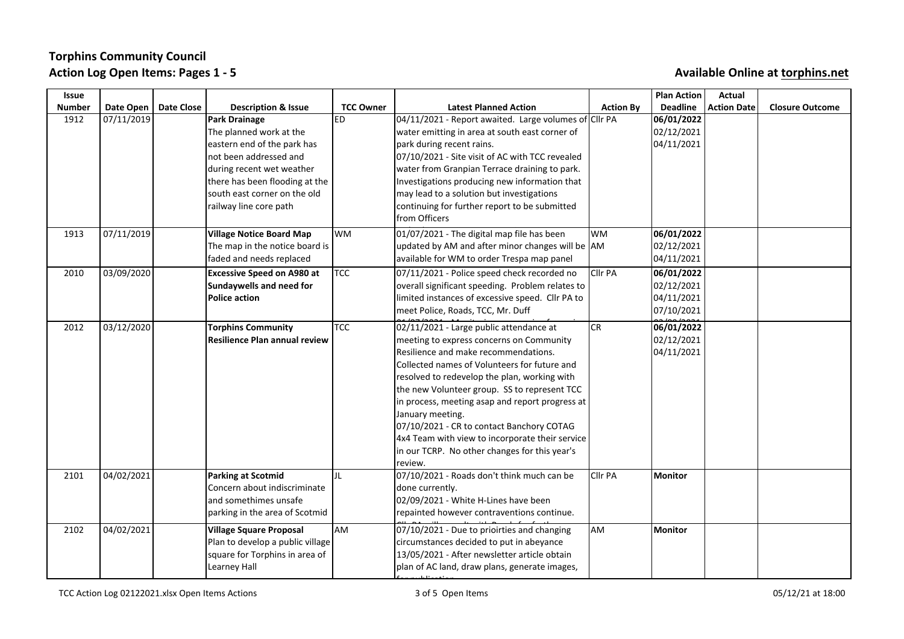| <b>Issue</b>  |                        |            |                                      |                  |                                                       |                  | <b>Plan Action</b> | Actual             |                        |
|---------------|------------------------|------------|--------------------------------------|------------------|-------------------------------------------------------|------------------|--------------------|--------------------|------------------------|
| <b>Number</b> | Date Open              | Date Close | <b>Description &amp; Issue</b>       | <b>TCC Owner</b> | <b>Latest Planned Action</b>                          | <b>Action By</b> | <b>Deadline</b>    | <b>Action Date</b> | <b>Closure Outcome</b> |
| 1912          | 07/11/2019             |            | Park Drainage                        | ED               | 04/11/2021 - Report awaited. Large volumes of Cllr PA |                  | 06/01/2022         |                    |                        |
|               |                        |            | The planned work at the              |                  | water emitting in area at south east corner of        |                  | 02/12/2021         |                    |                        |
|               |                        |            | eastern end of the park has          |                  | park during recent rains.                             |                  | 04/11/2021         |                    |                        |
|               |                        |            | not been addressed and               |                  | 07/10/2021 - Site visit of AC with TCC revealed       |                  |                    |                    |                        |
|               |                        |            | during recent wet weather            |                  | water from Granpian Terrace draining to park.         |                  |                    |                    |                        |
|               |                        |            | there has been flooding at the       |                  | Investigations producing new information that         |                  |                    |                    |                        |
|               |                        |            | south east corner on the old         |                  | may lead to a solution but investigations             |                  |                    |                    |                        |
|               |                        |            | railway line core path               |                  | continuing for further report to be submitted         |                  |                    |                    |                        |
|               |                        |            |                                      |                  | from Officers                                         |                  |                    |                    |                        |
| 1913          | 07/11/2019             |            | <b>Village Notice Board Map</b>      | lwm              | 01/07/2021 - The digital map file has been            | lwm              | 06/01/2022         |                    |                        |
|               |                        |            | The map in the notice board is       |                  | updated by AM and after minor changes will be AM      |                  | 02/12/2021         |                    |                        |
|               |                        |            | faded and needs replaced             |                  | available for WM to order Trespa map panel            |                  | 04/11/2021         |                    |                        |
| 2010          | $\frac{1}{03/09}/2020$ |            | <b>Excessive Speed on A980 at</b>    | <b>TCC</b>       | 07/11/2021 - Police speed check recorded no           | Cllr PA          | 06/01/2022         |                    |                        |
|               |                        |            | Sundaywells and need for             |                  | overall significant speeding. Problem relates to      |                  | 02/12/2021         |                    |                        |
|               |                        |            | Police action                        |                  | limited instances of excessive speed. Cllr PA to      |                  | 04/11/2021         |                    |                        |
|               |                        |            |                                      |                  | meet Police, Roads, TCC, Mr. Duff                     |                  | 07/10/2021         |                    |                        |
| 2012          | 03/12/2020             |            | <b>Torphins Community</b>            | <b>TCC</b>       | 02/11/2021 - Large public attendance at               | <b>CR</b>        | 06/01/2022         |                    |                        |
|               |                        |            | <b>Resilience Plan annual review</b> |                  | meeting to express concerns on Community              |                  | 02/12/2021         |                    |                        |
|               |                        |            |                                      |                  | Resilience and make recommendations.                  |                  | 04/11/2021         |                    |                        |
|               |                        |            |                                      |                  | Collected names of Volunteers for future and          |                  |                    |                    |                        |
|               |                        |            |                                      |                  | resolved to redevelop the plan, working with          |                  |                    |                    |                        |
|               |                        |            |                                      |                  | the new Volunteer group. SS to represent TCC          |                  |                    |                    |                        |
|               |                        |            |                                      |                  | in process, meeting asap and report progress at       |                  |                    |                    |                        |
|               |                        |            |                                      |                  | January meeting.                                      |                  |                    |                    |                        |
|               |                        |            |                                      |                  | 07/10/2021 - CR to contact Banchory COTAG             |                  |                    |                    |                        |
|               |                        |            |                                      |                  | 4x4 Team with view to incorporate their service       |                  |                    |                    |                        |
|               |                        |            |                                      |                  | in our TCRP. No other changes for this year's         |                  |                    |                    |                        |
|               |                        |            |                                      |                  | review.                                               |                  |                    |                    |                        |
| 2101          | $\frac{04}{02}/2021$   |            | Parking at Scotmid                   | JL               | 07/10/2021 - Roads don't think much can be            | <b>Cllr PA</b>   | Monitor            |                    |                        |
|               |                        |            | Concern about indiscriminate         |                  | done currently.                                       |                  |                    |                    |                        |
|               |                        |            | and somethimes unsafe                |                  | 02/09/2021 - White H-Lines have been                  |                  |                    |                    |                        |
|               |                        |            | parking in the area of Scotmid       |                  | repainted however contraventions continue.            |                  |                    |                    |                        |
| 2102          | 04/02/2021             |            | Village Square Proposal              | AM               | 07/10/2021 - Due to prioirties and changing           | AM               | Monitor            |                    |                        |
|               |                        |            | Plan to develop a public village     |                  | circumstances decided to put in abeyance              |                  |                    |                    |                        |
|               |                        |            | square for Torphins in area of       |                  | 13/05/2021 - After newsletter article obtain          |                  |                    |                    |                        |
|               |                        |            | Learney Hall                         |                  | plan of AC land, draw plans, generate images,         |                  |                    |                    |                        |
|               |                        |            |                                      |                  |                                                       |                  |                    |                    |                        |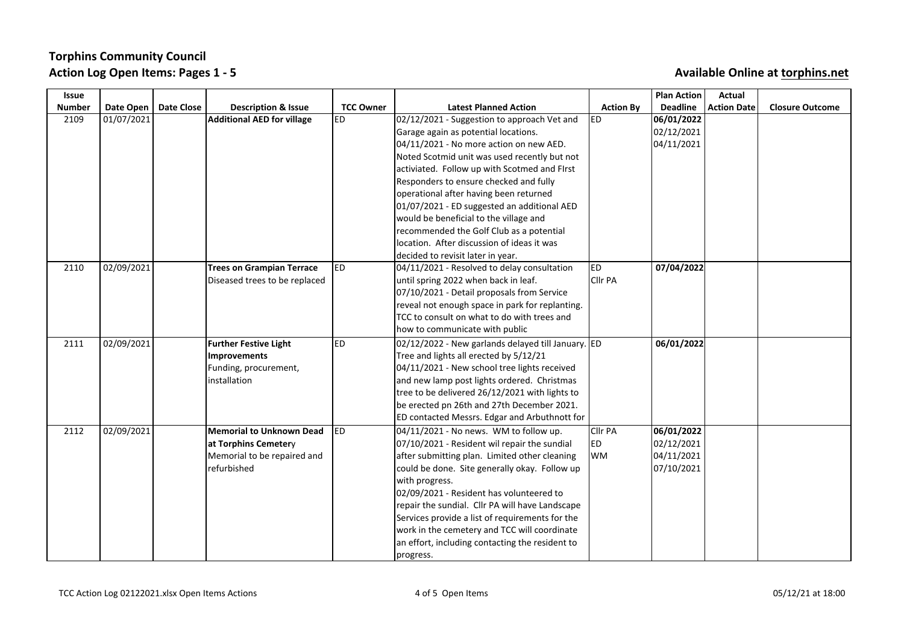| Issue         |            |                   |                                   |                  |                                                    |                  | <b>Plan Action</b> | Actual             |                        |
|---------------|------------|-------------------|-----------------------------------|------------------|----------------------------------------------------|------------------|--------------------|--------------------|------------------------|
| <b>Number</b> | Date Open  | <b>Date Close</b> | <b>Description &amp; Issue</b>    | <b>TCC Owner</b> | <b>Latest Planned Action</b>                       | <b>Action By</b> | <b>Deadline</b>    | <b>Action Date</b> | <b>Closure Outcome</b> |
| 2109          | 01/07/2021 |                   | <b>Additional AED for village</b> | ED.              | 02/12/2021 - Suggestion to approach Vet and        | ED               | 06/01/2022         |                    |                        |
|               |            |                   |                                   |                  | Garage again as potential locations.               |                  | 02/12/2021         |                    |                        |
|               |            |                   |                                   |                  | 04/11/2021 - No more action on new AED.            |                  | 04/11/2021         |                    |                        |
|               |            |                   |                                   |                  | Noted Scotmid unit was used recently but not       |                  |                    |                    |                        |
|               |            |                   |                                   |                  | activiated. Follow up with Scotmed and FIrst       |                  |                    |                    |                        |
|               |            |                   |                                   |                  | Responders to ensure checked and fully             |                  |                    |                    |                        |
|               |            |                   |                                   |                  | operational after having been returned             |                  |                    |                    |                        |
|               |            |                   |                                   |                  | 01/07/2021 - ED suggested an additional AED        |                  |                    |                    |                        |
|               |            |                   |                                   |                  | would be beneficial to the village and             |                  |                    |                    |                        |
|               |            |                   |                                   |                  | recommended the Golf Club as a potential           |                  |                    |                    |                        |
|               |            |                   |                                   |                  | location. After discussion of ideas it was         |                  |                    |                    |                        |
|               |            |                   |                                   |                  | decided to revisit later in year.                  |                  |                    |                    |                        |
| 2110          | 02/09/2021 |                   | <b>Trees on Grampian Terrace</b>  | led              | 04/11/2021 - Resolved to delay consultation        | ED               | 07/04/2022         |                    |                        |
|               |            |                   | Diseased trees to be replaced     |                  | until spring 2022 when back in leaf.               | Cllr PA          |                    |                    |                        |
|               |            |                   |                                   |                  | 07/10/2021 - Detail proposals from Service         |                  |                    |                    |                        |
|               |            |                   |                                   |                  | reveal not enough space in park for replanting.    |                  |                    |                    |                        |
|               |            |                   |                                   |                  | TCC to consult on what to do with trees and        |                  |                    |                    |                        |
|               |            |                   |                                   |                  | how to communicate with public                     |                  |                    |                    |                        |
| 2111          | 02/09/2021 |                   | <b>Further Festive Light</b>      | led              | 02/12/2022 - New garlands delayed till January. ED |                  | 06/01/2022         |                    |                        |
|               |            |                   | Improvements                      |                  | Tree and lights all erected by 5/12/21             |                  |                    |                    |                        |
|               |            |                   | Funding, procurement,             |                  | 04/11/2021 - New school tree lights received       |                  |                    |                    |                        |
|               |            |                   | installation                      |                  | and new lamp post lights ordered. Christmas        |                  |                    |                    |                        |
|               |            |                   |                                   |                  | tree to be delivered 26/12/2021 with lights to     |                  |                    |                    |                        |
|               |            |                   |                                   |                  | be erected pn 26th and 27th December 2021.         |                  |                    |                    |                        |
|               |            |                   |                                   |                  | ED contacted Messrs. Edgar and Arbuthnott for      |                  |                    |                    |                        |
| 2112          | 02/09/2021 |                   | Memorial to Unknown Dead          | ED.              | 04/11/2021 - No news. WM to follow up.             | Cllr PA          | 06/01/2022         |                    |                        |
|               |            |                   | at Torphins Cemetery              |                  | 07/10/2021 - Resident wil repair the sundial       | ED.              | 02/12/2021         |                    |                        |
|               |            |                   | Memorial to be repaired and       |                  | after submitting plan. Limited other cleaning      | <b>WM</b>        | 04/11/2021         |                    |                        |
|               |            |                   | refurbished                       |                  | could be done. Site generally okay. Follow up      |                  | 07/10/2021         |                    |                        |
|               |            |                   |                                   |                  | with progress.                                     |                  |                    |                    |                        |
|               |            |                   |                                   |                  | 02/09/2021 - Resident has volunteered to           |                  |                    |                    |                        |
|               |            |                   |                                   |                  | repair the sundial. Cllr PA will have Landscape    |                  |                    |                    |                        |
|               |            |                   |                                   |                  | Services provide a list of requirements for the    |                  |                    |                    |                        |
|               |            |                   |                                   |                  | work in the cemetery and TCC will coordinate       |                  |                    |                    |                        |
|               |            |                   |                                   |                  | an effort, including contacting the resident to    |                  |                    |                    |                        |
|               |            |                   |                                   |                  | progress.                                          |                  |                    |                    |                        |